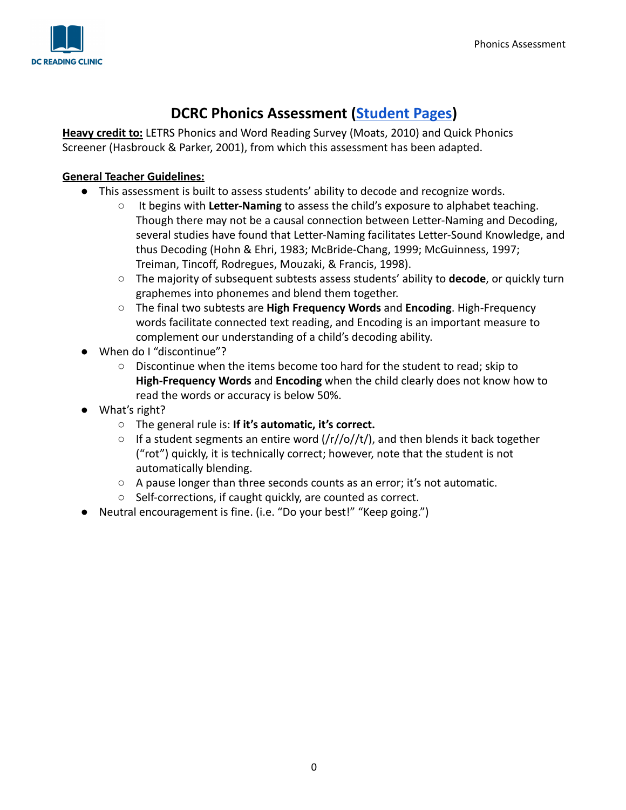

# **DCRC Phonics Assessment [\(Student](https://docs.google.com/document/d/1unzfjEoeWAIYONnBDlP3Gq3El0nA-tGcGBEOncrn_j4/edit?usp=sharing) Pages)**

**Heavy credit to:** LETRS Phonics and Word Reading Survey (Moats, 2010) and Quick Phonics Screener (Hasbrouck & Parker, 2001), from which this assessment has been adapted.

### **General Teacher Guidelines:**

- This assessment is built to assess students' ability to decode and recognize words.
	- It begins with Letter-Naming to assess the child's exposure to alphabet teaching. Though there may not be a causal connection between Letter-Naming and Decoding, several studies have found that Letter-Naming facilitates Letter-Sound Knowledge, and thus Decoding (Hohn & Ehri, 1983; McBride-Chang, 1999; McGuinness, 1997; Treiman, Tincoff, Rodregues, Mouzaki, & Francis, 1998).
	- The majority of subsequent subtests assess students' ability to **decode**, or quickly turn graphemes into phonemes and blend them together.
	- The final two subtests are **High Frequency Words** and **Encoding**. High-Frequency words facilitate connected text reading, and Encoding is an important measure to complement our understanding of a child's decoding ability.
- When do I "discontinue"?
	- Discontinue when the items become too hard for the student to read; skip to **High-Frequency Words** and **Encoding** when the child clearly does not know how to read the words or accuracy is below 50%.
- What's right?
	- The general rule is: **If it's automatic, it's correct.**
	- $\circ$  If a student segments an entire word (/r//o//t/), and then blends it back together ("rot") quickly, it is technically correct; however, note that the student is not automatically blending.
	- A pause longer than three seconds counts as an error; it's not automatic.
	- Self-corrections, if caught quickly, are counted as correct.
- Neutral encouragement is fine. (i.e. "Do your best!" "Keep going.")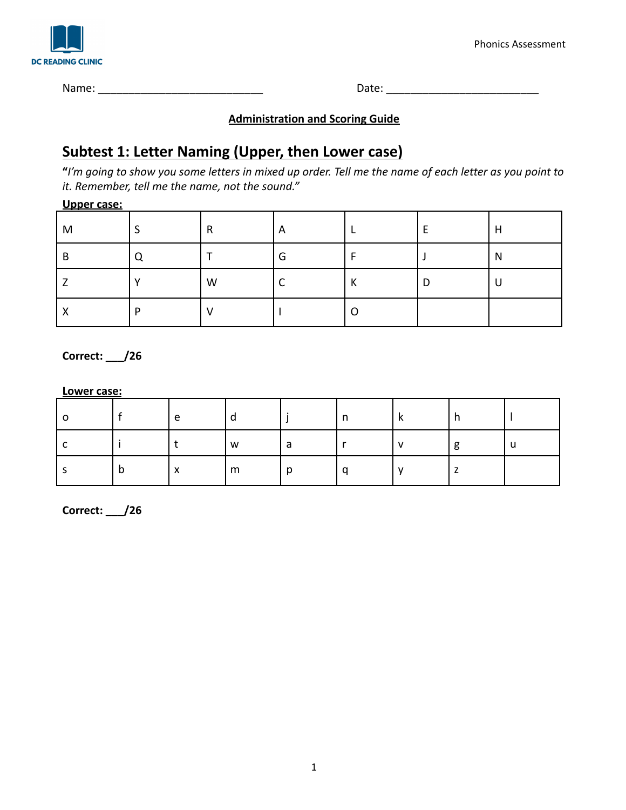

Phonics Assessment

Name: \_\_\_\_\_\_\_\_\_\_\_\_\_\_\_\_\_\_\_\_\_\_\_\_\_\_\_ Date: \_\_\_\_\_\_\_\_\_\_\_\_\_\_\_\_\_\_\_\_\_\_\_\_\_

### **Administration and Scoring Guide**

# **Subtest 1: Letter Naming (Upper, then Lower case)**

**"***I'm going to show you some letters in mixed up order. Tell me the name of each letter as you point to it. Remember, tell me the name, not the sound."*

#### **Upper case:**

| ___<br>M       |   | R | A |  | H |
|----------------|---|---|---|--|---|
| B              |   |   | G |  | N |
|                |   | W | ⌒ |  | U |
| v<br>$\lambda$ | D |   |   |  |   |

**Correct: \_\_\_/26**

#### **Lower case:**

|   | e         | u |  | n |   |
|---|-----------|---|--|---|---|
|   |           | W |  |   | U |
| D | $\lambda$ | m |  |   |   |

**Correct: \_\_\_/26**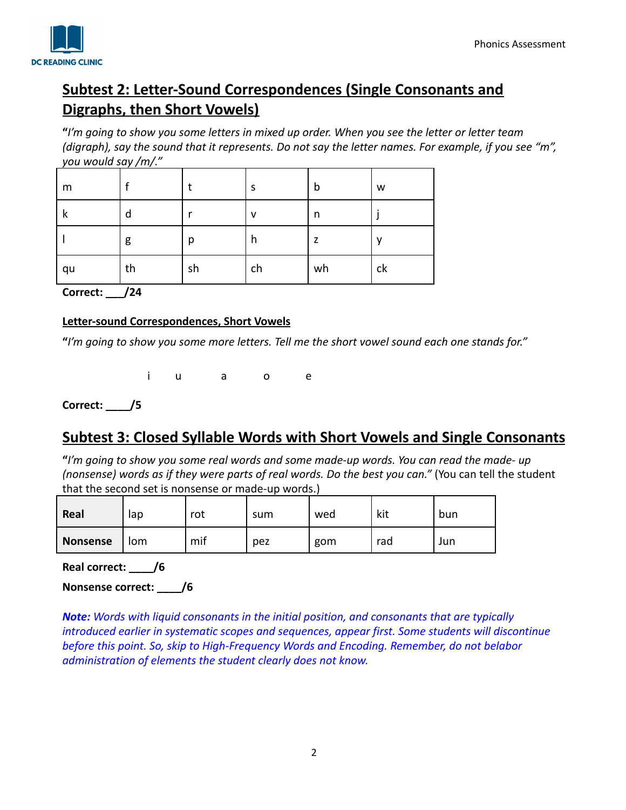## **Subtest 2: Letter-Sound Correspondences (Single Consonants and Digraphs, then Short Vowels)**

**"***I'm going to show you some letters in mixed up order. When you see the letter or letter team (digraph), say the sound that it represents. Do not say the letter names. For example, if you see "m", you would say /m/."*

| m  |    |    | S  | b  | W  |  |  |  |
|----|----|----|----|----|----|--|--|--|
| к  | d  |    | v  | n  |    |  |  |  |
|    | g  | р  | h  | z  | v  |  |  |  |
| qu | th | sh | ch | wh | ck |  |  |  |

**Correct: \_\_\_/24**

#### **Letter-sound Correspondences, Short Vowels**

**"***I'm going to show you some more letters. Tell me the short vowel sound each one stands for."*

i u a o e

**Correct: \_\_\_\_/5**

## **Subtest 3: Closed Syllable Words with Short Vowels and Single Consonants**

**"***I'm going to show you some real words and some made-up words. You can read the made- up (nonsense) words as if they were parts of real words. Do the best you can."* (You can tell the student that the second set is nonsense or made-up words.)

| Real            | lap | rot | sum | wed | kit | bun |
|-----------------|-----|-----|-----|-----|-----|-----|
| <b>Nonsense</b> | Iom | mif | pez | gom | rad | Jun |

**Real correct: \_\_\_\_/6**

**Nonsense correct: \_\_\_\_/6**

*Note: Words with liquid consonants in the initial position, and consonants that are typically introduced earlier in systematic scopes and sequences, appear first. Some students will discontinue before this point. So, skip to High-Frequency Words and Encoding. Remember, do not belabor administration of elements the student clearly does not know.*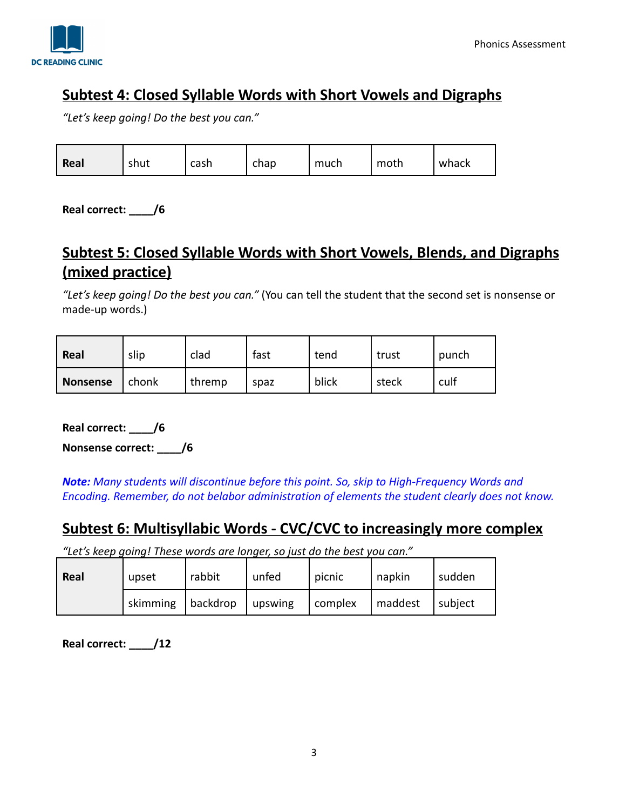

## **Subtest 4: Closed Syllable Words with Short Vowels and Digraphs**

*"Let's keep going! Do the best you can."*

| Real | shut | cash | chap | much | moth | whack |
|------|------|------|------|------|------|-------|
|      |      |      |      |      |      |       |

**Real correct: \_\_\_\_/6**

# **Subtest 5: Closed Syllable Words with Short Vowels, Blends, and Digraphs (mixed practice)**

*"Let's keep going! Do the best you can."* (You can tell the student that the second set is nonsense or made-up words.)

| Real            | slip  | clad   | fast | tend  | trust | punch |
|-----------------|-------|--------|------|-------|-------|-------|
| <b>Nonsense</b> | chonk | thremp | spaz | blick | steck | culf  |

**Real correct: \_\_\_\_/6**

**Nonsense correct: \_\_\_\_/6**

*Note: Many students will discontinue before this point. So, skip to High-Frequency Words and Encoding. Remember, do not belabor administration of elements the student clearly does not know.*

### **Subtest 6: Multisyllabic Words - CVC/CVC to increasingly more complex**

*"Let's keep going! These words are longer, so just do the best you can."*

| Real | upset    | rabbit   | unfed           | picnic  | napkin  | sudden  |
|------|----------|----------|-----------------|---------|---------|---------|
|      | skimming | backdrop | $\vert$ upswing | complex | maddest | subject |

**Real correct: \_\_\_\_/12**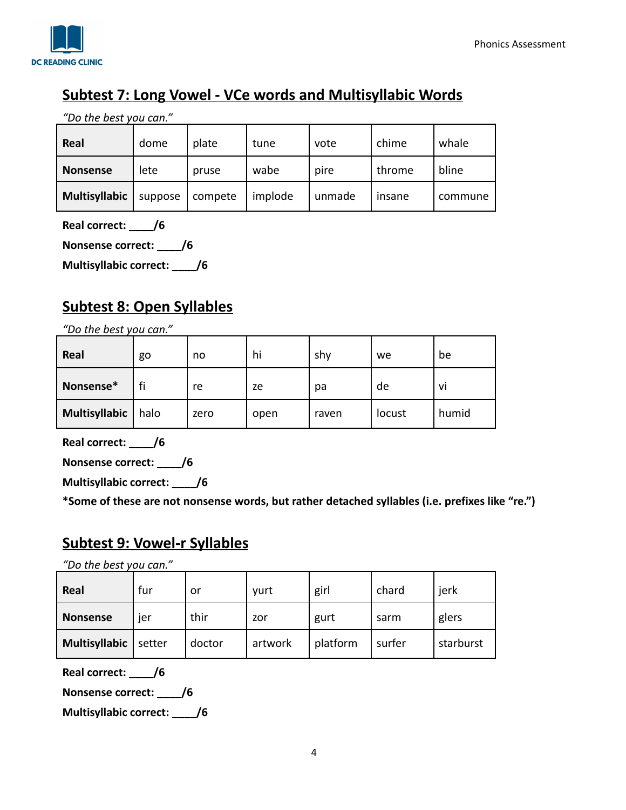

# **Subtest 7: Long Vowel - VCe words and Multisyllabic Words**

*"Do the best you can."*

| Real            | dome    | plate   | tune    | vote   | chime  | whale   |
|-----------------|---------|---------|---------|--------|--------|---------|
| <b>Nonsense</b> | lete    | pruse   | wabe    | pire   | throme | bline   |
| Multisyllabic   | suppose | compete | implode | unmade | insane | commune |

**Real correct: \_\_\_\_/6**

**Nonsense correct: \_\_\_\_/6**

**Multisyllabic correct: \_\_\_\_/6**

## **Subtest 8: Open Syllables**

*"Do the best you can."*

| Real          | go   | no   | hi   | shy   | we     | be    |
|---------------|------|------|------|-------|--------|-------|
| Nonsense*     | fi   | re   | ze   | pa    | de     | VÌ    |
| Multisyllabic | halo | zero | open | raven | locust | humid |

**Real correct: \_\_\_\_/6**

**Nonsense correct: \_\_\_\_/6**

**Multisyllabic correct: \_\_\_\_/6**

**\*Some of these are not nonsense words, but rather detached syllables (i.e. prefixes like "re.")**

## **Subtest 9: Vowel-r Syllables**

*"Do the best you can."*

| Real            | fur    | .or    | yurt    | girl     | chard  | jerk      |
|-----------------|--------|--------|---------|----------|--------|-----------|
| <b>Nonsense</b> | ier    | thir   | zor     | gurt     | sarm   | glers     |
| Multisyllabic   | setter | doctor | artwork | platform | surfer | starburst |

**Real correct: \_\_\_\_/6**

**Nonsense correct: \_\_\_\_/6**

**Multisyllabic correct: \_\_\_\_/6**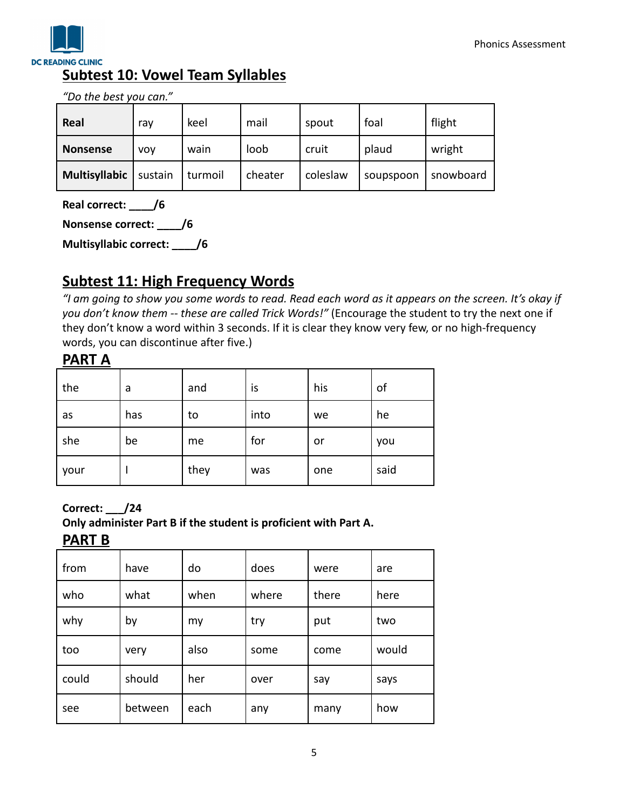

*"Do the best you can."*

| Real          | ray        | keel    | mail    | spout    | foal      | flight    |
|---------------|------------|---------|---------|----------|-----------|-----------|
| Nonsense      | <b>VOV</b> | wain    | loob    | cruit    | plaud     | wright    |
| Multisyllabic | sustain    | turmoil | cheater | coleslaw | soupspoon | snowboard |

**Real correct: \_\_\_\_/6**

**Nonsense correct: \_\_\_\_/6**

**Multisyllabic correct: \_\_\_\_/6**

## **Subtest 11: High Frequency Words**

*"I am going to show you some words to read. Read each word as it appears on the screen. It's okay if you don't know them -- these are called Trick Words!"* (Encourage the student to try the next one if they don't know a word within 3 seconds. If it is clear they know very few, or no high-frequency words, you can discontinue after five.)

### **PART A**

| the  | a   | and  | is   | his | of   |
|------|-----|------|------|-----|------|
| as   | has | to   | into | we  | he   |
| she  | be  | me   | for  | or  | you  |
| your |     | they | was  | one | said |

**Correct: \_\_\_/24**

### **Only administer Part B if the student is proficient with Part A.**

**PART B**

| from  | have    | do   | does  | were  | are   |
|-------|---------|------|-------|-------|-------|
| who   | what    | when | where | there | here  |
| why   | by      | my   | try   | put   | two   |
| too   | very    | also | some  | come  | would |
| could | should  | her  | over  | say   | says  |
| see   | between | each | any   | many  | how   |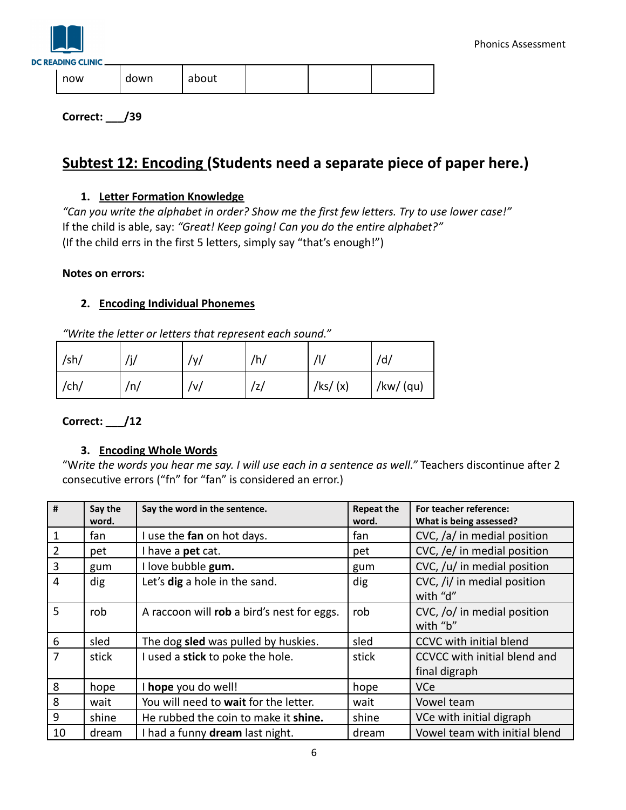

**Correct: \_\_\_/39**

## **Subtest 12: Encoding (Students need a separate piece of paper here.)**

### **1. Letter Formation Knowledge**

*"Can you write the alphabet in order? Show me the first few letters. Try to use lower case!"* If the child is able, say: *"Great! Keep going! Can you do the entire alphabet?"* (If the child errs in the first 5 letters, simply say "that's enough!")

#### **Notes on errors:**

### **2. Encoding Individual Phonemes**

*"Write the letter or letters that represent each sound."*

| /sh/ | /j/ | $/\gamma/$ | /h/ | /l/        | /d/       |
|------|-----|------------|-----|------------|-----------|
| /ch/ | /n/ | /v/        | /z/ | /ks/ $(x)$ | /kw/ (qu) |

**Correct: \_\_\_/12**

### **3. Encoding Whole Words**

"W*rite the words you hear me say. I will use each in a sentence as well."* Teachers discontinue after 2 consecutive errors ("fn" for "fan" is considered an error.)

| #              | Say the<br>word. | Say the word in the sentence.              | <b>Repeat the</b><br>word. | For teacher reference:<br>What is being assessed? |  |
|----------------|------------------|--------------------------------------------|----------------------------|---------------------------------------------------|--|
|                | fan              | I use the fan on hot days.                 | fan                        | CVC, /a/ in medial position                       |  |
| 2              | pet              | I have a pet cat.                          | pet                        | CVC, /e/ in medial position                       |  |
| 3              | gum              | I love bubble gum.                         | gum                        | CVC, /u/ in medial position                       |  |
| $\overline{4}$ | dig              | Let's dig a hole in the sand.              | dig                        | CVC, /i/ in medial position<br>with "d"           |  |
| 5              | rob              | A raccoon will rob a bird's nest for eggs. | rob                        | CVC, /o/ in medial position<br>with "b"           |  |
| 6              | sled             | The dog sled was pulled by huskies.        | sled                       | CCVC with initial blend                           |  |
| $\overline{7}$ | stick            | I used a stick to poke the hole.           | stick                      | CCVCC with initial blend and<br>final digraph     |  |
| 8              | hope             | I hope you do well!                        | hope                       | <b>VCe</b>                                        |  |
| 8              | wait             | You will need to wait for the letter.      | wait                       | Vowel team                                        |  |
| 9              | shine            | He rubbed the coin to make it shine.       | shine                      | VCe with initial digraph                          |  |
| 10             | dream            | I had a funny dream last night.            | dream                      | Vowel team with initial blend                     |  |